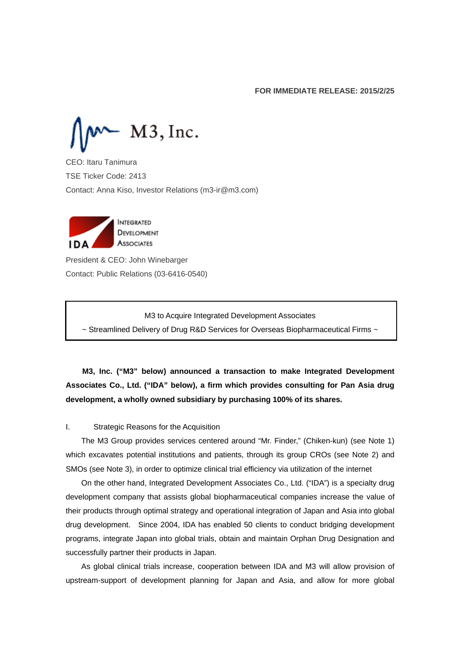$M3$ , Inc.

CEO: Itaru Tanimura TSE Ticker Code: 2413 Contact: Anna Kiso, Investor Relations (m3-ir@m3.com)



I

President & CEO: John Winebarger Contact: Public Relations (03-6416-0540)

M3 to Acquire Integrated Development Associates

~ Streamlined Delivery of Drug R&D Services for Overseas Biopharmaceutical Firms ~

**M3, Inc. ("M3" below) announced a transaction to make Integrated Development Associates Co., Ltd. ("IDA" below), a firm which provides consulting for Pan Asia drug development, a wholly owned subsidiary by purchasing 100% of its shares.** 

#### I. Strategic Reasons for the Acquisition

The M3 Group provides services centered around "Mr. Finder," (Chiken-kun) (see Note 1) which excavates potential institutions and patients, through its group CROs (see Note 2) and SMOs (see Note 3), in order to optimize clinical trial efficiency via utilization of the internet

On the other hand, Integrated Development Associates Co., Ltd. ("IDA") is a specialty drug development company that assists global biopharmaceutical companies increase the value of their products through optimal strategy and operational integration of Japan and Asia into global drug development. Since 2004, IDA has enabled 50 clients to conduct bridging development programs, integrate Japan into global trials, obtain and maintain Orphan Drug Designation and successfully partner their products in Japan.

As global clinical trials increase, cooperation between IDA and M3 will allow provision of upstream-support of development planning for Japan and Asia, and allow for more global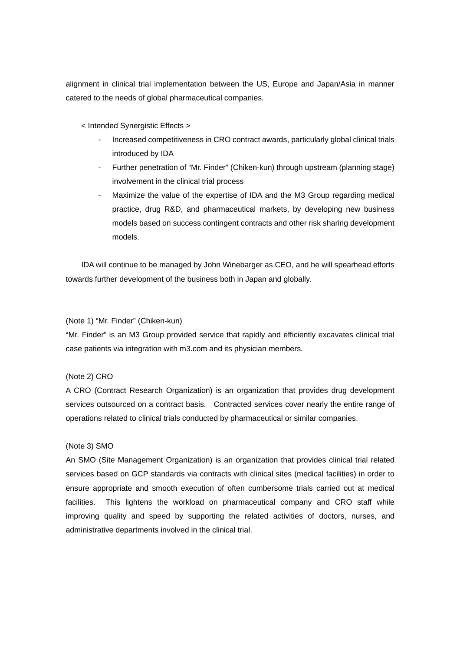alignment in clinical trial implementation between the US, Europe and Japan/Asia in manner catered to the needs of global pharmaceutical companies.

< Intended Synergistic Effects >

- Increased competitiveness in CRO contract awards, particularly global clinical trials introduced by IDA
- Further penetration of "Mr. Finder" (Chiken-kun) through upstream (planning stage) involvement in the clinical trial process
- Maximize the value of the expertise of IDA and the M3 Group regarding medical practice, drug R&D, and pharmaceutical markets, by developing new business models based on success contingent contracts and other risk sharing development models.

IDA will continue to be managed by John Winebarger as CEO, and he will spearhead efforts towards further development of the business both in Japan and globally.

#### (Note 1) "Mr. Finder" (Chiken-kun)

"Mr. Finder" is an M3 Group provided service that rapidly and efficiently excavates clinical trial case patients via integration with m3.com and its physician members.

#### (Note 2) CRO

A CRO (Contract Research Organization) is an organization that provides drug development services outsourced on a contract basis. Contracted services cover nearly the entire range of operations related to clinical trials conducted by pharmaceutical or similar companies.

#### (Note 3) SMO

An SMO (Site Management Organization) is an organization that provides clinical trial related services based on GCP standards via contracts with clinical sites (medical facilities) in order to ensure appropriate and smooth execution of often cumbersome trials carried out at medical facilities. This lightens the workload on pharmaceutical company and CRO staff while improving quality and speed by supporting the related activities of doctors, nurses, and administrative departments involved in the clinical trial.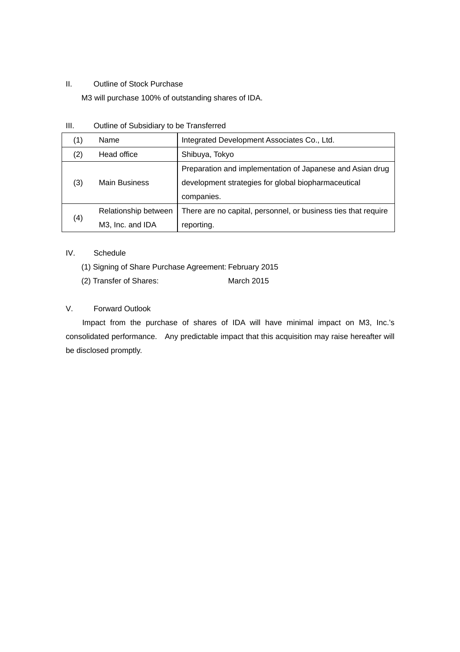#### II. Outline of Stock Purchase

M3 will purchase 100% of outstanding shares of IDA.

| (1) | Name                 | Integrated Development Associates Co., Ltd.                    |
|-----|----------------------|----------------------------------------------------------------|
| (2) | Head office          | Shibuya, Tokyo                                                 |
| (3) | <b>Main Business</b> | Preparation and implementation of Japanese and Asian drug      |
|     |                      | development strategies for global biopharmaceutical            |
|     |                      | companies.                                                     |
| (4) | Relationship between | There are no capital, personnel, or business ties that require |
|     | M3, Inc. and IDA     | reporting.                                                     |

#### IV. Schedule

- (1) Signing of Share Purchase Agreement: February 2015
- (2) Transfer of Shares: March 2015

#### V. Forward Outlook

Impact from the purchase of shares of IDA will have minimal impact on M3, Inc.'s consolidated performance. Any predictable impact that this acquisition may raise hereafter will be disclosed promptly.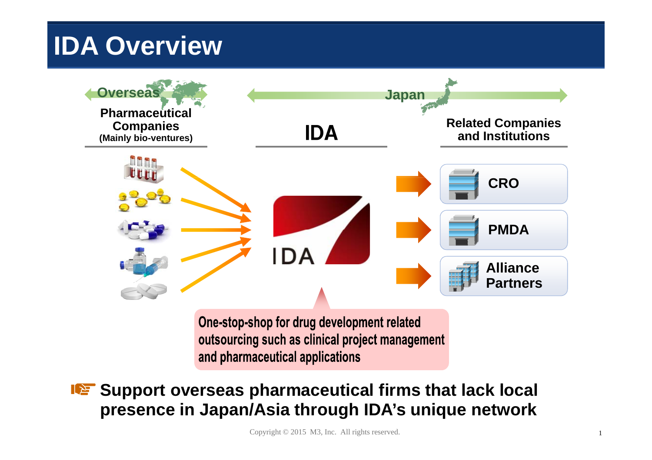## **IDA Overview**



One-stop-shop for drug development related outsourcing such as clinical project management and pharmaceutical applications

**Support overseas pharmaceutical firms that lack local IDE presence in Japan/Asia through IDA's unique network**